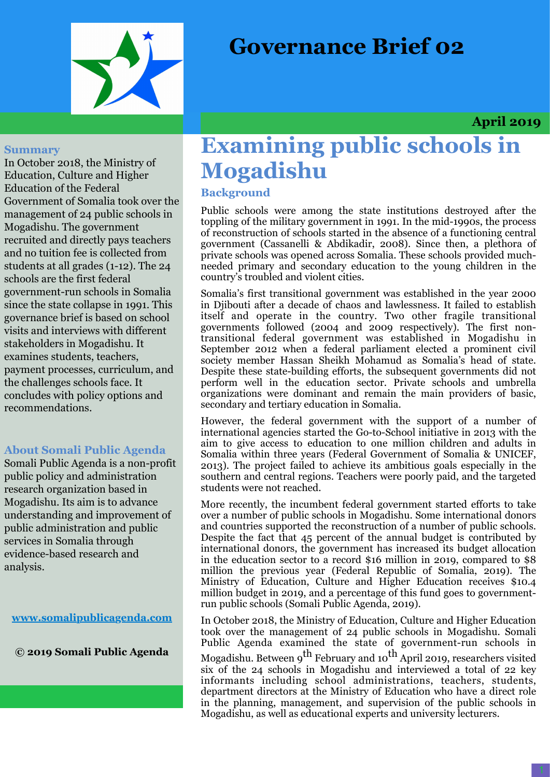



 **April 2019**

#### **Summary**

In October 2018, the Ministry of Education, Culture and Higher Education of the Federal Government of Somalia took over the management of 24 public schools in Mogadishu. The government recruited and directly pays teachers and no tuition fee is collected from students at all grades (1-12). The 24 schools are the first federal government-run schools in Somalia since the state collapse in 1991. This governance brief is based on school visits and interviews with different stakeholders in Mogadishu. It examines students, teachers, payment processes, curriculum, and the challenges schools face. It concludes with policy options and recommendations.

## **About Somali Public Agenda**

Somali Public Agenda is a non-profit public policy and administration research organization based in Mogadishu. Its aim is to advance understanding and improvement of public administration and public services in Somalia through evidence-based research and analysis.

**[www.somalipublicagenda.com](http://www.somalipublicagenda.com)**

**© 2019 Somali Public Agenda**

# **Examining public schools in Mogadishu**

**Background** 

Public schools were among the state institutions destroyed after the toppling of the military government in 1991. In the mid-1990s, the process of reconstruction of schools started in the absence of a functioning central government (Cassanelli & Abdikadir, 2008). Since then, a plethora of private schools was opened across Somalia. These schools provided muchneeded primary and secondary education to the young children in the country's troubled and violent cities.

Somalia's first transitional government was established in the year 2000 in Djibouti after a decade of chaos and lawlessness. It failed to establish itself and operate in the country. Two other fragile transitional governments followed (2004 and 2009 respectively). The first nontransitional federal government was established in Mogadishu in September 2012 when a federal parliament elected a prominent civil society member Hassan Sheikh Mohamud as Somalia's head of state. Despite these state-building efforts, the subsequent governments did not perform well in the education sector. Private schools and umbrella organizations were dominant and remain the main providers of basic, secondary and tertiary education in Somalia.

However, the federal government with the support of a number of international agencies started the Go-to-School initiative in 2013 with the aim to give access to education to one million children and adults in Somalia within three years (Federal Government of Somalia & UNICEF, 2013). The project failed to achieve its ambitious goals especially in the southern and central regions. Teachers were poorly paid, and the targeted students were not reached.

More recently, the incumbent federal government started efforts to take over a number of public schools in Mogadishu. Some international donors and countries supported the reconstruction of a number of public schools. Despite the fact that 45 percent of the annual budget is contributed by international donors, the government has increased its budget allocation in the education sector to a record \$16 million in 2019, compared to \$8 million the previous year (Federal Republic of Somalia, 2019). The Ministry of Education, Culture and Higher Education receives \$10.4 million budget in 2019, and a percentage of this fund goes to governmentrun public schools (Somali Public Agenda, 2019).

In October 2018, the Ministry of Education, Culture and Higher Education took over the management of 24 public schools in Mogadishu. Somali Public Agenda examined the state of government-run schools in Mogadishu. Between 9 $^{\rm th}$  February and 10 $^{\rm th}$  April 2019, researchers visited six of the 24 schools in Mogadishu and interviewed a total of 22 key informants including school administrations, teachers, students, department directors at the Ministry of Education who have a direct role in the planning, management, and supervision of the public schools in Mogadishu, as well as educational experts and university lecturers.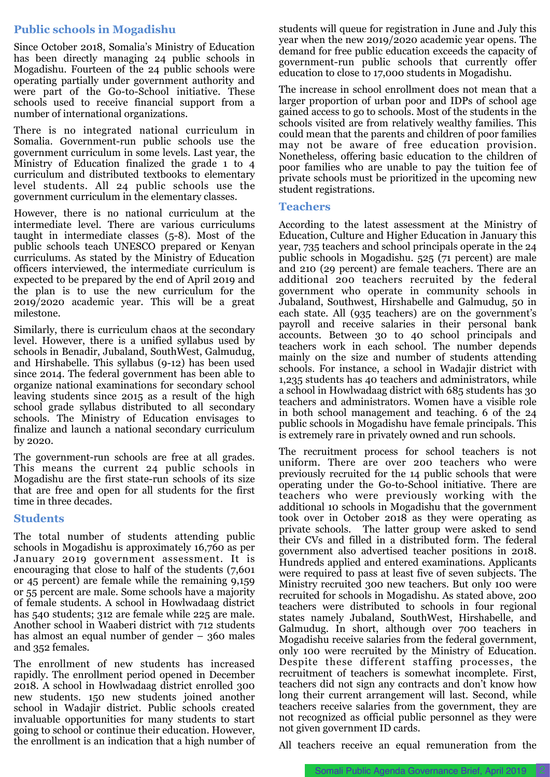## **Public schools in Mogadishu**

Since October 2018, Somalia's Ministry of Education has been directly managing 24 public schools in Mogadishu. Fourteen of the 24 public schools were operating partially under government authority and were part of the Go-to-School initiative. These schools used to receive financial support from a number of international organizations.

There is no integrated national curriculum in Somalia. Government-run public schools use the government curriculum in some levels. Last year, the Ministry of Education finalized the grade 1 to 4 curriculum and distributed textbooks to elementary level students. All 24 public schools use the government curriculum in the elementary classes.

However, there is no national curriculum at the intermediate level. There are various curriculums taught in intermediate classes (5-8). Most of the public schools teach UNESCO prepared or Kenyan curriculums. As stated by the Ministry of Education officers interviewed, the intermediate curriculum is expected to be prepared by the end of April 2019 and the plan is to use the new curriculum for the 2019/2020 academic year. This will be a great milestone.

Similarly, there is curriculum chaos at the secondary level. However, there is a unified syllabus used by schools in Benadir, Jubaland, SouthWest, Galmudug, and Hirshabelle. This syllabus (9-12) has been used since 2014. The federal government has been able to organize national examinations for secondary school leaving students since 2015 as a result of the high school grade syllabus distributed to all secondary schools. The Ministry of Education envisages to finalize and launch a national secondary curriculum by 2020.

The government-run schools are free at all grades. This means the current 24 public schools in Mogadishu are the first state-run schools of its size that are free and open for all students for the first time in three decades.

#### **Students**

The total number of students attending public schools in Mogadishu is approximately 16,760 as per January 2019 government assessment. It is encouraging that close to half of the students (7,601 or 45 percent) are female while the remaining 9,159 or 55 percent are male. Some schools have a majority of female students. A school in Howlwadaag district has 540 students; 312 are female while 225 are male. Another school in Waaberi district with 712 students has almost an equal number of gender – 360 males and 352 females.

The enrollment of new students has increased rapidly. The enrollment period opened in December 2018. A school in Howlwadaag district enrolled 300 new students. 150 new students joined another school in Wadajir district. Public schools created invaluable opportunities for many students to start going to school or continue their education. However, the enrollment is an indication that a high number of students will queue for registration in June and July this year when the new 2019/2020 academic year opens. The demand for free public education exceeds the capacity of government-run public schools that currently offer education to close to 17,000 students in Mogadishu.

The increase in school enrollment does not mean that a larger proportion of urban poor and IDPs of school age gained access to go to schools. Most of the students in the schools visited are from relatively wealthy families. This could mean that the parents and children of poor families may not be aware of free education provision. Nonetheless, offering basic education to the children of poor families who are unable to pay the tuition fee of private schools must be prioritized in the upcoming new student registrations.

#### **Teachers**

According to the latest assessment at the Ministry of Education, Culture and Higher Education in January this year, 735 teachers and school principals operate in the 24 public schools in Mogadishu. 525 (71 percent) are male and 210 (29 percent) are female teachers. There are an additional 200 teachers recruited by the federal government who operate in community schools in Jubaland, Southwest, Hirshabelle and Galmudug, 50 in each state. All (935 teachers) are on the government's payroll and receive salaries in their personal bank accounts. Between 30 to 40 school principals and teachers work in each school. The number depends mainly on the size and number of students attending schools. For instance, a school in Wadajir district with 1,235 students has 40 teachers and administrators, while a school in Howlwadaag district with 685 students has 30 teachers and administrators. Women have a visible role in both school management and teaching. 6 of the 24 public schools in Mogadishu have female principals. This is extremely rare in privately owned and run schools.

The recruitment process for school teachers is not uniform. There are over 200 teachers who were previously recruited for the 14 public schools that were operating under the Go-to-School initiative. There are teachers who were previously working with the additional 10 schools in Mogadishu that the government took over in October 2018 as they were operating as private schools. The latter group were asked to send their CVs and filled in a distributed form. The federal government also advertised teacher positions in 2018. Hundreds applied and entered examinations. Applicants were required to pass at least five of seven subjects. The Ministry recruited 300 new teachers. But only 100 were recruited for schools in Mogadishu. As stated above, 200 teachers were distributed to schools in four regional states namely Jubaland, SouthWest, Hirshabelle, and Galmudug. In short, although over 700 teachers in Mogadishu receive salaries from the federal government, only 100 were recruited by the Ministry of Education. Despite these different staffing processes, the recruitment of teachers is somewhat incomplete. First, teachers did not sign any contracts and don't know how long their current arrangement will last. Second, while teachers receive salaries from the government, they are not recognized as official public personnel as they were not given government ID cards.

All teachers receive an equal remuneration from the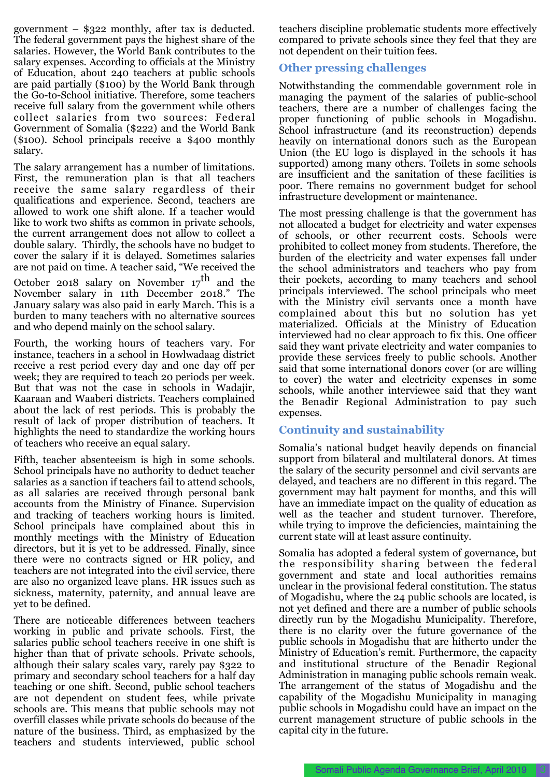government – \$322 monthly, after tax is deducted. The federal government pays the highest share of the salaries. However, the World Bank contributes to the salary expenses. According to officials at the Ministry of Education, about 240 teachers at public schools are paid partially (\$100) by the World Bank through the Go-to-School initiative. Therefore, some teachers receive full salary from the government while others collect salaries from two sources: Federal Government of Somalia (\$222) and the World Bank (\$100). School principals receive a \$400 monthly salary.

The salary arrangement has a number of limitations. First, the remuneration plan is that all teachers receive the same salary regardless of their qualifications and experience. Second, teachers are allowed to work one shift alone. If a teacher would like to work two shifts as common in private schools, the current arrangement does not allow to collect a double salary. Thirdly, the schools have no budget to cover the salary if it is delayed. Sometimes salaries are not paid on time. A teacher said, "We received the

October 2018 salary on November  $17^{\text{th}}$  and the November salary in 11th December 2018." The January salary was also paid in early March. This is a burden to many teachers with no alternative sources and who depend mainly on the school salary.

Fourth, the working hours of teachers vary. For instance, teachers in a school in Howlwadaag district receive a rest period every day and one day off per week; they are required to teach 20 periods per week. But that was not the case in schools in Wadajir, Kaaraan and Waaberi districts. Teachers complained about the lack of rest periods. This is probably the result of lack of proper distribution of teachers. It highlights the need to standardize the working hours of teachers who receive an equal salary.

Fifth, teacher absenteeism is high in some schools. School principals have no authority to deduct teacher salaries as a sanction if teachers fail to attend schools, as all salaries are received through personal bank accounts from the Ministry of Finance. Supervision and tracking of teachers working hours is limited. School principals have complained about this in monthly meetings with the Ministry of Education directors, but it is yet to be addressed. Finally, since there were no contracts signed or HR policy, and teachers are not integrated into the civil service, there are also no organized leave plans. HR issues such as sickness, maternity, paternity, and annual leave are yet to be defined.

There are noticeable differences between teachers working in public and private schools. First, the salaries public school teachers receive in one shift is higher than that of private schools. Private schools, although their salary scales vary, rarely pay \$322 to primary and secondary school teachers for a half day teaching or one shift. Second, public school teachers are not dependent on student fees, while private schools are. This means that public schools may not overfill classes while private schools do because of the nature of the business. Third, as emphasized by the teachers and students interviewed, public school

teachers discipline problematic students more effectively compared to private schools since they feel that they are not dependent on their tuition fees.

## **Other pressing challenges**

Notwithstanding the commendable government role in managing the payment of the salaries of public-school teachers, there are a number of challenges facing the proper functioning of public schools in Mogadishu. School infrastructure (and its reconstruction) depends heavily on international donors such as the European Union (the EU logo is displayed in the schools it has supported) among many others. Toilets in some schools are insufficient and the sanitation of these facilities is poor. There remains no government budget for school infrastructure development or maintenance.

The most pressing challenge is that the government has not allocated a budget for electricity and water expenses of schools, or other recurrent costs. Schools were prohibited to collect money from students. Therefore, the burden of the electricity and water expenses fall under the school administrators and teachers who pay from their pockets, according to many teachers and school principals interviewed. The school principals who meet with the Ministry civil servants once a month have complained about this but no solution has yet materialized. Officials at the Ministry of Education interviewed had no clear approach to fix this. One officer said they want private electricity and water companies to provide these services freely to public schools. Another said that some international donors cover (or are willing to cover) the water and electricity expenses in some schools, while another interviewee said that they want the Benadir Regional Administration to pay such expenses.

## **Continuity and sustainability**

Somalia's national budget heavily depends on financial support from bilateral and multilateral donors. At times the salary of the security personnel and civil servants are delayed, and teachers are no different in this regard. The government may halt payment for months, and this will have an immediate impact on the quality of education as well as the teacher and student turnover. Therefore, while trying to improve the deficiencies, maintaining the current state will at least assure continuity.

Somalia has adopted a federal system of governance, but the responsibility sharing between the federal government and state and local authorities remains unclear in the provisional federal constitution. The status of Mogadishu, where the 24 public schools are located, is not yet defined and there are a number of public schools directly run by the Mogadishu Municipality. Therefore, there is no clarity over the future governance of the public schools in Mogadishu that are hitherto under the Ministry of Education's remit. Furthermore, the capacity and institutional structure of the Benadir Regional Administration in managing public schools remain weak. The arrangement of the status of Mogadishu and the capability of the Mogadishu Municipality in managing public schools in Mogadishu could have an impact on the current management structure of public schools in the capital city in the future.